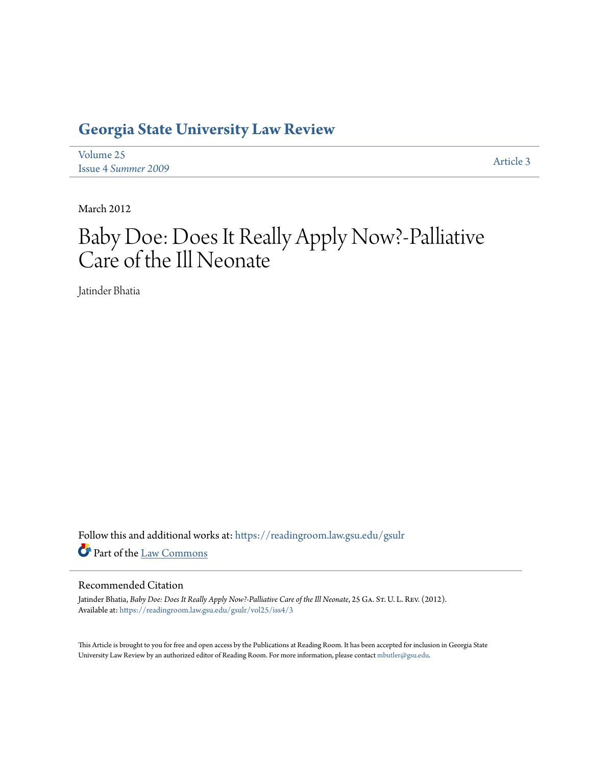## **[Georgia State University Law Review](https://readingroom.law.gsu.edu/gsulr?utm_source=readingroom.law.gsu.edu%2Fgsulr%2Fvol25%2Fiss4%2F3&utm_medium=PDF&utm_campaign=PDFCoverPages)**

[Volume 25](https://readingroom.law.gsu.edu/gsulr/vol25?utm_source=readingroom.law.gsu.edu%2Fgsulr%2Fvol25%2Fiss4%2F3&utm_medium=PDF&utm_campaign=PDFCoverPages) Issue 4 *[Summer 2009](https://readingroom.law.gsu.edu/gsulr/vol25/iss4?utm_source=readingroom.law.gsu.edu%2Fgsulr%2Fvol25%2Fiss4%2F3&utm_medium=PDF&utm_campaign=PDFCoverPages)* [Article 3](https://readingroom.law.gsu.edu/gsulr/vol25/iss4/3?utm_source=readingroom.law.gsu.edu%2Fgsulr%2Fvol25%2Fiss4%2F3&utm_medium=PDF&utm_campaign=PDFCoverPages)

March 2012

# Baby Doe: Does It Really Apply Now?-Palliative Care of the Ill Neonate

Jatinder Bhatia

Follow this and additional works at: [https://readingroom.law.gsu.edu/gsulr](https://readingroom.law.gsu.edu/gsulr?utm_source=readingroom.law.gsu.edu%2Fgsulr%2Fvol25%2Fiss4%2F3&utm_medium=PDF&utm_campaign=PDFCoverPages) Part of the [Law Commons](http://network.bepress.com/hgg/discipline/578?utm_source=readingroom.law.gsu.edu%2Fgsulr%2Fvol25%2Fiss4%2F3&utm_medium=PDF&utm_campaign=PDFCoverPages)

## Recommended Citation

Jatinder Bhatia, *Baby Doe: Does It Really Apply Now?-Palliative Care of the Ill Neonate*, 25 GA. St. U. L. REv. (2012). Available at: [https://readingroom.law.gsu.edu/gsulr/vol25/iss4/3](https://readingroom.law.gsu.edu/gsulr/vol25/iss4/3?utm_source=readingroom.law.gsu.edu%2Fgsulr%2Fvol25%2Fiss4%2F3&utm_medium=PDF&utm_campaign=PDFCoverPages)

This Article is brought to you for free and open access by the Publications at Reading Room. It has been accepted for inclusion in Georgia State University Law Review by an authorized editor of Reading Room. For more information, please contact [mbutler@gsu.edu.](mailto:mbutler@gsu.edu)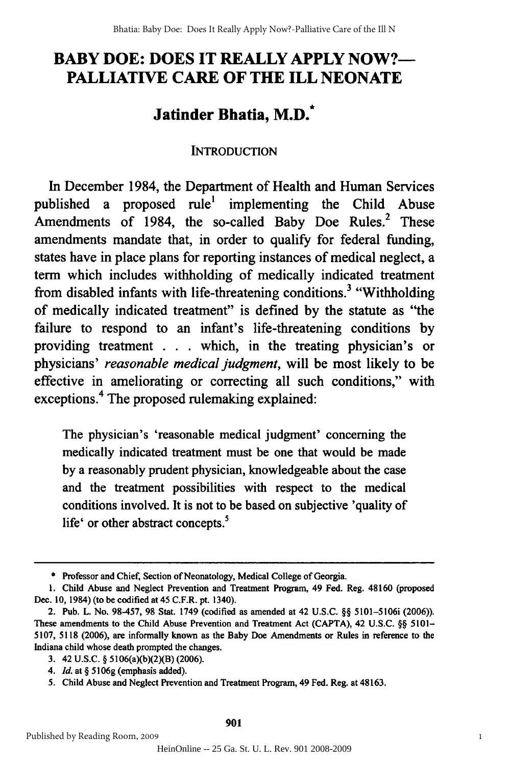## **BABY DOE: DOES IT REALLY APPLY NOW?-** BABY DOE: DOES IT REALLY APPLY NOW?- **PALLIATIVE CARE OF THE ILL NEONATE** PALLIATIVE CARE OF THE ILL NEONATE

## Jatinder Bhatia, M.D.<sup>\*</sup>

## **INTRODUCTION** INTRODUCTION

In December 1984, the Department of Health and Human Services published a proposed rule<sup>1</sup> implementing the Child Abuse Amendments of 1984, the so-called Baby Doe Rules.<sup>2</sup> These amendments mandate that, in order to qualify for federal funding, amendments mandate that, in order to qualify for federal funding, states have in place plans for reporting instances of medical neglect, a term which includes withholding of medically indicated treatment term which includes withholding of medically indicated treatment from disabled infants with life-threatening conditions.<sup>3</sup> "Withholding of medically indicated treatment" is defined **by** the statute as "the of medically indicated treatment" is defined by the statute as "the failure to respond to an infant's life-threatening conditions **by** failure to respond to an infant's life-threatening conditions by providing treatment **. .** which, in the treating physician's or providing treatment . . . which, in the treating physician's or physicians' *reasonable medical judgment,* will be most likely to be physicians' *reasonable medical judgment,* will most likely to be effective in ameliorating or correcting all such conditions," with effective in ameliorating or correcting all such conditions," with exceptions.<sup>4</sup> The proposed rulemaking explained:

The physician's 'reasonable medical judgment' concerning the The physician's 'reasonable medical judgment' concerning the medically indicated treatment must be one that would be made medically indicated treatment must be one that would be made by a reasonably prudent physician, knowledgeable about the case and the treatment possibilities with respect to the medical and the treatment possibilities with respect to the medical conditions involved. It is not to be based on subjective 'quality of life $^{\circ}$  or other abstract concepts.<sup>5</sup>

**<sup>\*</sup>** Professor and Chief, Section of Neonatology, Medical College of Georgia. • Professor and Chief, Section of Neonatology, Medical College of Georgia.

**<sup>1.</sup>** Child Abuse and Neglect Prevention and Treatment Program, 49 Fed. Reg. 48160 (proposed I. Child Abuse and Neglect Prevention and Treatment Program, 49 Fed. Reg. 48160 (proposed Dec. 10, 1984) (to be codified at 45 C.F.R. pt. 1340).

<sup>2.</sup> Pub. L. No. **98-457, 98** Stat. 1749 (codified as amended at 42 **U.S.C. §§** 5101-5106i **(2006)).** 2. Pub. L. No. 98-457, 98 Stat. 1749 (codified as amended at 42 U.S.C. §§ 5101-5106i (2006». These amendments to the Child Abuse Prevention and Treatment Act **(CAPTA),** 42 **U.S.C. §§ 5101-** These amendments to the Child Abuse Prevention and Treatment Act (CAPTA), 42 U.S.C. §§ 5101- **5107, 5118 (2006),** are informally known as the Baby Doe Amendments or Rules in reference to the 5107, 5118 (2006), are informally known as the Baby Doe Amendments or Rules in reference to the Indiana child whose death prompted the changes. Indiana child whose death prompted the changes.

**<sup>3.</sup>** 42 **U.S.C. §** 5106(a)(b)(2)(B) **(2006).** 3. 42 U.S.C. § 5106(a)(b)(2)(B) (2006).

*<sup>4.</sup> Id.* at **§ 5106g** (emphasis added). *4. Id.* at § 5106g (emphasis added).

**<sup>5.</sup>** Child Abuse and Neglect Prevention and Treatment Program, 49 Fed. Reg. at **48163.** 5. Child Abuse and Neglect Prevention and Treatment Program, 49 Fed. Reg. at 48163.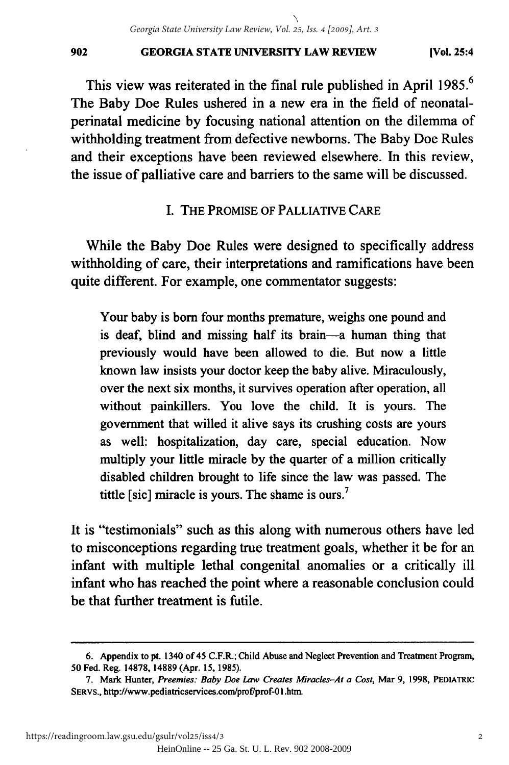## **GEORGIA STATE UNIVERSITY LAW REVIEW** 902 GEORGIA STATE UNIVERSITY LAW REVIEW (Vol. 25:4

This view was reiterated in the final rule published in April 1985.<sup>6</sup> The Baby Doe Rules ushered in a new era in the field of neonatalperinatal medicine by focusing national attention on the dilemma of perinatal medicine by focusing national attention on dilemma of withholding treatment from defective newborns. The Baby Doe Rules and their exceptions have been reviewed elsewhere. In this review, the issue of palliative care and barriers to the same will be discussed. the issue of palliative care and barriers to the same will be discussed.

## I. THE PROMISE OF PALLIATIVE CARE I. PROMISE OF PALLIATIVE CARE

While the Baby Doe Rules were designed to specifically address While the Baby Doe Rules were designed to specifically address withholding of care, their interpretations and ramifications have been withholding of care, their interpretations and ramifications have been quite different. For example, one commentator suggests: quite different. For example, one commentator suggests:

Your baby is born four months premature, weighs one pound and Your baby is born four months premature, weighs one pound and is deaf, blind and missing half its brain-a human thing that previously would have been allowed to die. But now a little previously would have been allowed to die. But now a little known law insists your doctor keep the baby alive. Miraculously, known law insists your doctor keep the baby alive. Miraculously, over the next six months, it survives operation after operation, all without painkillers. You love the child. It is yours. The without painkillers. You love the child. It is yours. The government that willed it alive says its crushing costs are yours government that willed it alive says its crushing costs are yours as well: hospitalization, day care, special education. Now as well: hospitalization, day care, special education. Now multiply your little miracle by the quarter of a million critically multiply your little miracle by the quarter of a million critically disabled children brought to life since the law was passed. The tittle [sic] miracle is yours. The shame is ours.<sup>7</sup>

It is "testimonials" such as this along with numerous others have led to misconceptions regarding true treatment goals, whether it be for an to misconceptions regarding true treatment goals, whether it be for an infant with multiple lethal congenital anomalies or a critically ill infant with multiple lethal congenital anomalies or a critically ill infant who has reached the point where a reasonable conclusion could infant who has reached the point where a reasonable conclusion could be that further treatment is futile. be that further treatment is futile.

**<sup>6.</sup>** Appendix to pt. 1340 of 45 C.F.R.; Child Abuse and Neglect Prevention and Treatment Program, 6. Appendix to pt. 1340 of 45 C.F.R.; Child Abuse and Neglect Prevention and Treatment Program, 50 Fed. Reg. 14878, 14889 (Apr. 15, 1985).

**<sup>7.</sup>** Mark Hunter, *Preemies: Baby Doe Law Creates Miracles-At a Cost,* Mar **9, 1998,** PEDIATRIC 7. Mark *Preemies: Baby Doe Law Creates Miracles-At a Cost,* Mar 9, 1998, PEDIATRIC SERVS., http://www.pediatricservices.com/prof/prof-01.htm.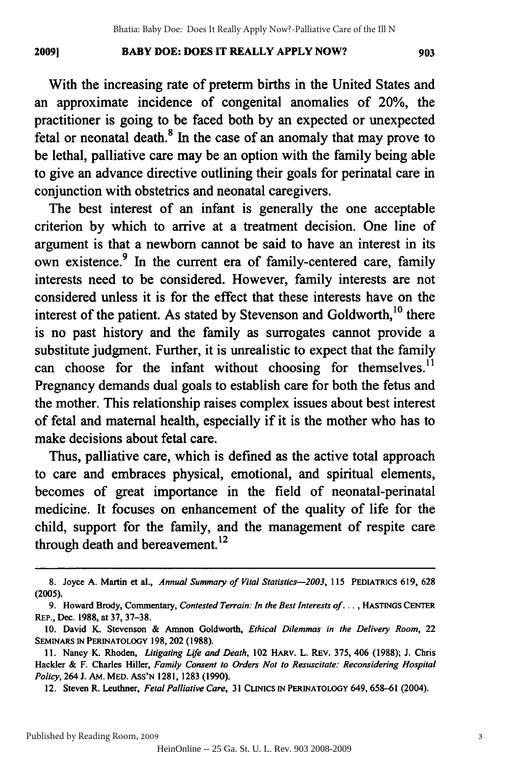#### **BABY DOE: DOES IT REALLY APPLY NOW?** 2009] BABY DOE: DOES IT REALLY APPLY NOW? 903 **20091**

With the increasing rate of preterm births in the United States and an approximate incidence of congenital anomalies of 20%, the practitioner is going to be faced both by an expected or unexpected practitioner is going to be faced both by an expected or unexpected fetal or neonatal death. $8$  In the case of an anomaly that may prove to be lethal, palliative care may be an option with the family being able to give an advance directive outlining their goals for perinatal care in to give an advance directive outlining their goals for perinatal care in conjunction with obstetrics and neonatal caregivers.

The best interest of an infant is generally the one acceptable criterion by which to arrive at a treatment decision. One line of argument is that a newborn cannot be said to have an interest in its own existence.<sup>9</sup> In the current era of family-centered care, family interests need to be considered. However, family interests are not considered unless it is for the effect that these interests have on the interest of the patient. As stated by Stevenson and Goldworth,<sup>10</sup> there is no past history and the family as surrogates cannot provide a substitute judgment. Further, it is unrealistic to expect that the family can choose for the infant without choosing for themselves.<sup>11</sup> Pregnancy demands dual goals to establish care for both the fetus and Pregnancy demands dual goals to establish care for both the fetus and the mother. This relationship raises complex issues about best interest of fetal and maternal health, especially if it is the mother who has to make decisions about fetal care. make decisions about fetal care.

Thus, palliative care, which is defined as the active total approach Thus, palliative care, which is defined as the active total approach to care and embraces physical, emotional, and spiritual elements, to care and embraces physical, emotional, and spiritual elements, becomes of great importance in the field of neonatal-perinatal becomes of great importance in the field of neonatal-perinatal medicine. It focuses on enhancement of the quality of life for the medicine. It focuses on enhancement of the quality of life for the child, support for the family, and the management of respite care through death and bereavement.<sup>12</sup>

Published by Reading Room, 2009

<sup>8.</sup> Joyce A. Martin et al., Annual Summary of Vital Statistics-2003, 115 PEDIATRICS 619, 628 (2005). (2005).

<sup>9.</sup> Howard Brody, Commentary, *Contested Terrain: In the Best Interests of...* , **HASTINGS** CENTER 9. Howard Brody, Commentary, *Contested Terrain: In the Best Interests of .* .. , HASTINGS CENTER REP., Dec. 1988, at 37, 37-38. REp., 1988, at 37, 37-38.

<sup>10.</sup> David K. Stevenson & Amnon Goldworth, *Ethical Dilemmas in the Delivery Room,* 22 10. David K. Stevenson & Amnon Goldworth, *Ethical Dilemmas in the Delivery Room,* 22 **SEMINARS IN PERINATOLOGY 198,** 202 **(1988).** SEMINARS IN PERINATOLOGY 198, 202 (1988).

**<sup>11.</sup>** Nancy K. Rhoden, *Litigating Life and Death,* 102 HARv. L. REV. 375, 406 (1988); J. Chris 11. Nancy K. Rhoden, *Litigating Life and Death,* 102 MARv. L. REv. 375,406 (1988); J. Chris Hackler **&** F. Charles Hiller, *Family Consent to Orders Not to Resuscitate: Reconsidering Hospital* Hackler & F. Charles Hiller, *Family Consent to Orders Not to Resuscitate: Reconsidering Hospital Policy,* 264 **J.** AM. MED. ASS'N **1281, 1283** (1990). *Policy,* 264 J. AM. MED. AsS'N 1281, 1283 (1990).

<sup>12.</sup> Steven R. Leuthner, *Fetal Palliative Care,* **31 CLINICS IN PERINATOLoGY** 649, 658-61 (2004). 12. Steven R. Leuthner, *Fetal Palliative Care,* 31 CLINICS IN PERINATOLOGY 649, 658-61 (2004).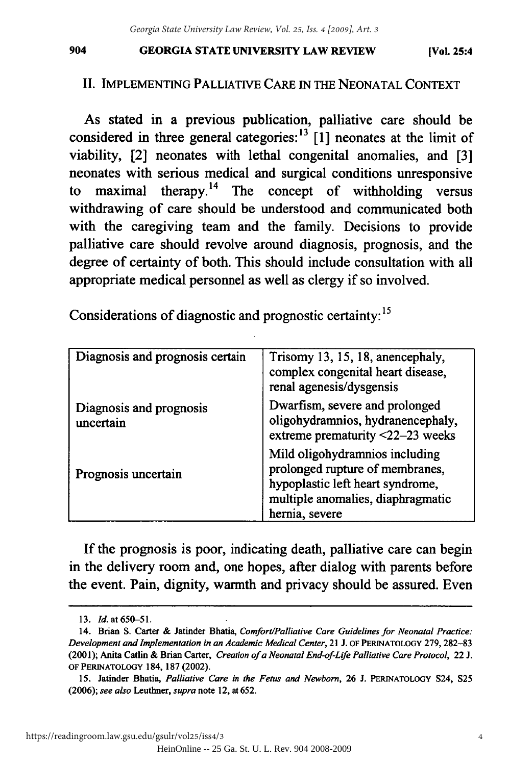### **GEORGIA STATE** UNIVERSITY LAW REVIEW 904 GEORGIA STATE UNIVERSITY REVIEW (VoL 25:4

## II. IMPLEMENTING PALLIATIVE CARE 1N THE NEONATAL CONTEXT II. IMPLEMENTING PALLIATNE CARE IN THE NEONATAL CONTEXT

As stated in a previous publication, palliative care should be As stated in a previous publication, palliative care should be considered in three general categories:<sup>13</sup> [1] neonates at the limit of viability, [2] neonates with lethal congenital anomalies, and [3] viability, [2] neonates lethal congenital anomalies, and [3] neonates with serious medical and surgical conditions unresponsive neonates with serious medical surgical conditions unresponsive to maximal therapy.<sup>14</sup> The concept of withholding versus withdrawing of care should be understood and communicated both with the caregiving team and the family. Decisions to provide with the caregiving team and the family. Decisions to provide palliative care should revolve around diagnosis, prognosis, and the palliative care should revolve around diagnosis, prognosis, and the degree of certainty of both. This should include consultation with all appropriate medical personnel as well as clergy if so involved. appropriate medical personnel as well as clergy if so involved.

Considerations of diagnostic and prognostic certainty: **15** Considerations of diagnostic and prognostic certainty: 15

| Diagnosis and prognosis certain      | Trisomy 13, 15, 18, anencephaly,<br>complex congenital heart disease,<br>renal agenesis/dysgensis                                                            |
|--------------------------------------|--------------------------------------------------------------------------------------------------------------------------------------------------------------|
| Diagnosis and prognosis<br>uncertain | Dwarfism, severe and prolonged<br>oligohydramnios, hydranencephaly,<br>extreme prematurity <22-23 weeks                                                      |
| Prognosis uncertain                  | Mild oligohydramnios including<br>prolonged rupture of membranes,<br>hypoplastic left heart syndrome,<br>multiple anomalies, diaphragmatic<br>hernia, severe |

**If** the prognosis is poor, indicating death, palliative care can begin If the prognosis is poor, indicating death, palliative care can begin in the delivery room and, one hopes, after dialog with parents before in the delivery room and, one hopes, after dialog with parents before the event. Pain, dignity, warmth and privacy should be assured. Even the event. Pain, dignity, warmth and privacy should be assured. Even

**<sup>13.</sup>** Id.at650-51. *13. Id.* at 650--51.

<sup>14.</sup> Brian **S.** Carter & Jatinder Bhatia, *ComfortlPalliative Care Guidelines for Neonatal Practice:* 14. Brian S. Carter & latinder *Comfort/Palliative Care Guidelines for Neonatal Practice: Development and Implementation in an Academic Medical Center,* 21 **J. OF PERINATOLOGY 279, 282-83** *Development and Implementation* in *an Academic Medical Center,* 21 J. OF PERINATOLOGY 279, 282-83 (2001); Anita Catlin & Brian Carter, Creation of a Neonatal End-of-Life Palliative Care Protocol, 22 J. **OF PERINATOLOGY 184, 187** (2002). OF PERINA TO LOGY 184, 187 (2002).

**<sup>15.</sup>** Jatinder Bhatia, *Palliative Care in the Fetus and Newborn,* **26 J. PERINATOLOGY** S24, **S25** 15. Jatinder Bhatia, *Palliative Care* in *the Fetus and Newborn,* 26 J. PERINATOLOGY S24, S25 **(2006);** *see also Leuthner, supra* note 12, at **652.** *(2006); see also* Leuthner, *supra* note 12, at 652.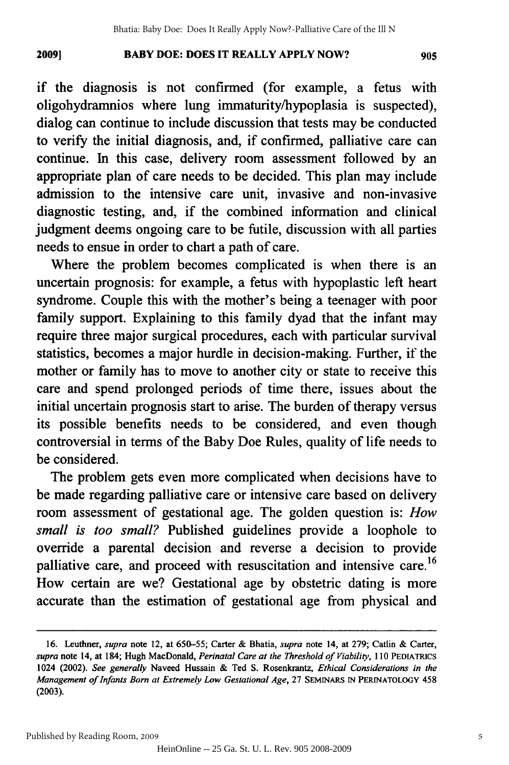#### 2009] **BABY DOE: DOES IT REALLY APPLY NOW?** 905 **2009]**

if the diagnosis is not confirmed (for example, a fetus with if the diagnosis is not confirmed (for example, a fetus with oligohydramnios where lung immaturity/hypoplasia is suspected), oligohydramnios where lung immaturity/hypoplasia is suspected), dialog can continue to include discussion that tests may be conducted to verify the initial diagnosis, and, if confirmed, palliative care can to verify the initial diagnosis, and, if confirmed, palliative care can continue. In this case, delivery room assessment followed by an appropriate plan of care needs to be decided. This plan may include appropriate plan of care needs to be decided. This plan may include admission to the intensive care unit, invasive and non-invasive admission to the intensive care unit, invasive and non-invasive diagnostic testing, and, if the combined information and clinical diagnostic testing, and, if the combined information and clinical judgment deems ongoing care to be futile, discussion with all parties judgment deems ongoing care to be futile, discussion with all parties needs to ensue in order to chart a path of care. needs to ensue in order to chart a path of care.

Where the problem becomes complicated is when there is an uncertain prognosis: for example, a fetus with hypoplastic left heart uncertain prognosis: for example, a fetus with hypoplastic left heart syndrome. Couple this with the mother's being a teenager with poor syndrome. Couple this with the mother's being a teenager with poor family support. Explaining to this family dyad that the infant may family support. Explaining to this family dyad that the infant may require three major surgical procedures, each with particular survival require three major surgical procedures, each with particular survival statistics, becomes a major hurdle in decision-making. Further, if the statistics, becomes a major hurdle in decision-making. Further, if the mother or family has to move to another city or state to receive this mother or family has to move to another city or state to receive this care and spend prolonged periods of time there, issues about the initial uncertain prognosis start to arise. The burden of therapy versus initial uncertain prognosis start to arise. The burden of therapy versus its possible benefits needs to be considered, and even though its possible benefits needs to be considered, and even though controversial in terms of the Baby Doe Rules, quality of life needs to controversial in terms of the Baby Doe Rules, quality of life needs to be considered. be considered.

The problem gets even more complicated when decisions have to The problem gets even more complicated when decisions have to be made regarding palliative care or intensive care based on delivery be made regarding palliative care or intensive care based on delivery room assessment of gestational age. The golden question is: *How* room assessment of gestational age. The golden question is: *How small is too small?* Published guidelines provide a loophole to *small is too small?* Published guidelines provide a loophole to override a parental decision and reverse a decision to provide palliative care, and proceed with resuscitation and intensive care.<sup>16</sup> palliative care, and proceed with resuscitation and intensive care. <sup>16</sup> How certain are we? Gestational age by obstetric dating is more How certain are we? Gestational age by obstetric dating is more accurate than the estimation of gestational age from physical and accurate than the estimation of gestational age from physical and

<sup>16.</sup> Leuthner, *supra* note 12, at 650-55; Carter & Bhatia, *supra* note 14, at 279; Catlin & Carter, supra note 14, at 184; Hugh MacDonald, Perinatal Care at the Threshold of Viability, 110 PEDIATRICS 1024 (2002). *See generally* Naveed Hussain & Ted **S.** Rosenkrantz, *Ethical Considerations in the* 1024 *generally* Hussain & Ted S. Rosenkrantz, *Ethical Considerations in the*  Management of Infants Born at Extremely Low Gestational Age, 27 SEMINARS IN PERINATOLOGY 458 **(2003).** (2003).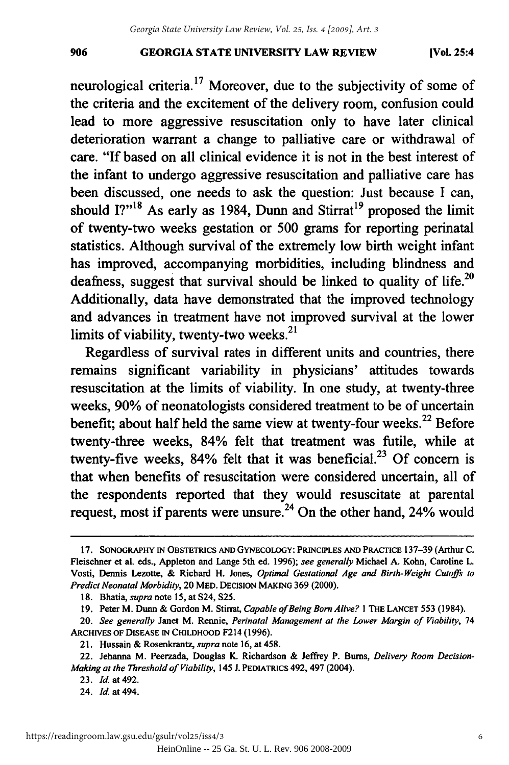## **GEORGIA STATE UNIVERSITY LAW REVIEW** 906 GEORGIA STATE UNIVERSITY LAW REVIEW (Vol. 25:4

neurological criteria.<sup>17</sup> Moreover, due to the subjectivity of some of the criteria and the excitement of the delivery room, confusion could lead to more aggressive resuscitation only to have later clinical lead to more aggressive resuscitation only to have later clinical deterioration warrant a change to palliative care or withdrawal of care. "If based on all clinical evidence it is not in the best interest of the infant to undergo aggressive resuscitation and palliative care has the infant to undergo aggressive resuscitation and palliative care has been discussed, one needs to ask the question: Just because I can, been discussed, one needs to ask the question: Just because I can, should I?"<sup>18</sup> As early as 1984, Dunn and Stirrat<sup>19</sup> proposed the limit of twenty-two weeks gestation or 500 grams for reporting perinatal of twenty-two weeks gestation or 500 grams for reporting perinatal statistics. Although survival of the extremely low birth weight infant statistics. Although survival of the extremely low birth weight infant has improved, accompanying morbidities, including blindness and has improved, accompanying morbidities, including blindness and deafness, suggest that survival should be linked to quality of life.<sup>20</sup> Additionally, data have demonstrated that the improved technology Additionally, data have demonstrated that the improved technology and advances in treatment have not improved survival at the lower and advances in treatment have not improved survival at the lower limits of viability, twenty-two weeks.<sup>21</sup>

Regardless of survival rates in different units and countries, there remains significant variability in physicians' attitudes towards remains significant variability in physicians' attitudes towards resuscitation at the limits of viability. In one study, at twenty-three weeks, 90% of neonatologists considered treatment to be of uncertain weeks, 90% of neonatologists considered treatment to be of uncertain benefit; about half held the same view at twenty-four weeks.<sup>22</sup> Before twenty-three weeks, 84% felt that treatment was futile, while at twenty-five weeks,  $84\%$  felt that it was beneficial.<sup>23</sup> Of concern is that when benefits of resuscitation were considered uncertain, all of the respondents reported that they would resuscitate at parental the respondents reported that they would resuscitate at parental request, most if parents were unsure.<sup>24</sup> On the other hand, 24% would

**<sup>17.</sup> SONOGRAPHY IN OBSTETRICS AND GYNECOLOGY: PRINCIPLES AND PRACTICE 137-39** (Arthur **C.** 17. SONOGRAPHY IN OBSTETRICS AND GYNECOLOGY: PRINCIPLES AND PRACfICE 137-39 (Arthur C. Fleischner et al. eds., Appleton and Lange 5th ed. **1996);** see generally Michael **A.** Kohn, Caroline L. al. eds., Lange 5th ed. 1996); *see generally* Michael A. Kohn, Caroline L. Vosti, Dennis Lezotte, **&** Richard H. Jones, Optimal *Gestational Age and Birth-Weight Cutoffs to* Vosti, Dennis Lezotte, & Richard H. Jones, *Optimal Gestational Age and Birth-Weight Cutoffs to Predict Neonatal Morbidity,* 20 MED. **DECISION MAKING** 369 (2000). *Predict Neonatal Morbidity,* 20 MED. DECISION MAKING (2000). 18. Bhatia, *supra* note 15, at S24, S25.

**<sup>18.</sup>** Bhatia, *supra* note **15,** at S24, **S25.**

**<sup>19.</sup>** Peter M. Dunn **&** Gordon M. Stirrat, *Capable of Being Born Alive?* **I** THE **LANCET** 553 (1984). 19. M. Dunn & Gordon M. Stirrat, *Capable of Being BomAlive?* I THE LANCET 553 (1984).

<sup>20.</sup> *See generally* Janet M. Rennie, *Perinatal Management at the Lower Margin of Viability,* 74 *20. See generally* Janet M. Rennie, *Perinatal Management at the Lower Margin of Viability, 74*  **ARCHIVES OF DISEASE IN CHILDHOOD** F214 **(1996).** ARCHIVES OF DISEASE IN CHILDHOOD F214 (1996).<br>21. Hussain & Rosenkrantz, *supra* note 16, at 458.

<sup>22.</sup> Jehanna M. Peerzada, Douglas K. Richardson & Jeffrey P. Burns, *Delivery Room Decision-Making at the Threshold of Viability,* 145 **J. PEDIATRICS** 492, 497 (2004). *Making at the Threshold of Viability,* 145 J. PEDIATRICS 492, 497 (2004).

**<sup>23.</sup> Id.** at 492. *23. Id.* at 492.

<sup>24.</sup> **Id** at 494. *24. Id.* at 494.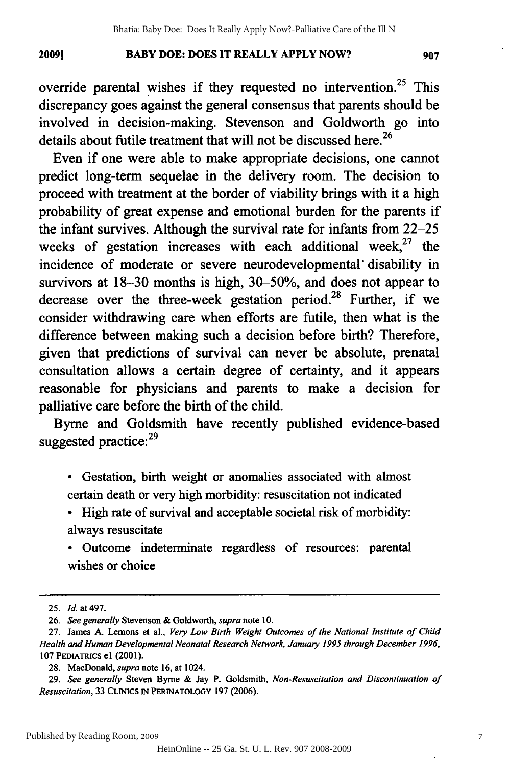#### 2009] **BABY DOE: DOES IT REALLY APPLY NOW?** 907 **20091**

override parental wishes if they requested no intervention.<sup>25</sup> This discrepancy goes against the general consensus that parents should be discrepancy goes against the general consensus that parents should be involved in decision-making. Stevenson and Goldworth go into involved in decision-making. Stevenson and Goldworth go into details about futile treatment that will not be discussed here.<sup>26</sup>

Even if one were able to make appropriate decisions, one cannot Even if one were able to make appropriate decisions, one cannot predict long-term sequelae in the delivery room. The decision to predict long-term sequelae in the delivery room. The decision to proceed with treatment at the border of viability brings with it a high proceed with treatment at the border of viability brings with it a high probability of great expense and emotional burden for the parents if probability of great expense and emotional burden for the parents if the infant survives. Although the survival rate for infants from 22-25 weeks of gestation increases with each additional week, $27$  the incidence of moderate or severe neurodevelopmental' disability in incidence of moderate or severe neurodevelopmental" disability in survivors at 18-30 months is high, 30-50%, and does not appear to survivors at 18-30 months is high, 30-50%, and does not appear to decrease over the three-week gestation period.<sup>28</sup> Further, if we consider withdrawing care when efforts are futile, then what is the consider withdrawing care when efforts are futile, then what is the difference between making such a decision before birth? Therefore, difference between making such a decision before birth? Therefore, given that predictions of survival can never be absolute, prenatal given that predictions of survival can never be absolute, prenatal consultation allows a certain degree of certainty, and it appears consultation allows certain degree of certainty, and it appears reasonable for physicians and parents to make a decision for reasonable for physicians and parents to make a decision for palliative care before the birth of the child. palliative care before the birth of the child.

Byrne and Goldsmith have recently published evidence-based Byrne and Goldsmith have recently published evidence-based suggested practice: <sup>29</sup> suggested practice:<sup>29</sup>

\* Gestation, birth weight or anomalies associated with almost • Gestation, birth weight or anomalies associated with almost certain death or very high morbidity: resuscitation not indicated certain death or very high morbidity: resuscitation not indicated

\* High rate of survival and acceptable societal risk of morbidity: • High rate of survival and acceptable societal risk of morbidity: always resuscitate always resuscitate

**0** Outcome indeterminate regardless of resources: parental • Outcome indeterminate regardless of resources: parental wishes or choice wishes or choice

<sup>25.</sup> *Id* at 497. *25. Id.* at 497.

<sup>26.</sup> *See generally* Stevenson **&** Goldworth, *supra* note 10. *26. See generally* & Goldworth, *supra* note 10.

<sup>27.</sup> James A. Lemons et al., *Very Low Birth Weight Outcomes of the National Institute of Child Health and Human Developmental Neonatal Research Network, January 1995 through December 1996, Health and Human Developmental Neonatal Research Network, January 1995 through December 1996,*  **107 PEDIATRICS e1** (2001). 107 PEDIATRICS el (2001).

**<sup>28.</sup>** MacDonald, *supra* note **16,** at 1024. 28. *supra* note 16, at 1024.

<sup>29.</sup> See generally Steven Byrne & Jay P. Goldsmith, Non-Resuscitation and Discontinuation of *Resuscitation,* **33 CLINICS IN PERINATOLOGY 197 (2006).** *Resuscitation,* 33 CLINICS IN PERINATOLOGY 197 (2006).